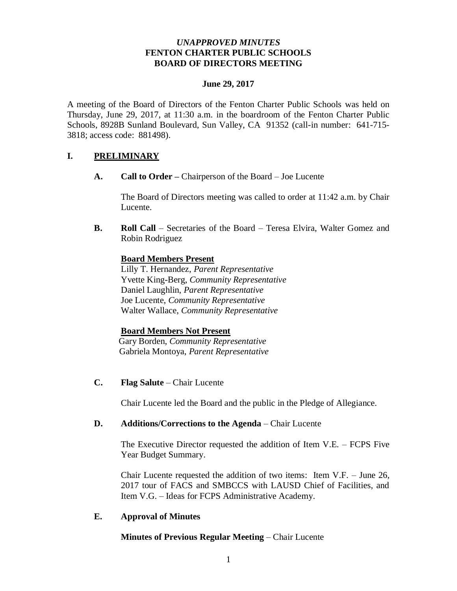## *UNAPPROVED MINUTES* **FENTON CHARTER PUBLIC SCHOOLS BOARD OF DIRECTORS MEETING**

## **June 29, 2017**

A meeting of the Board of Directors of the Fenton Charter Public Schools was held on Thursday, June 29, 2017, at 11:30 a.m. in the boardroom of the Fenton Charter Public Schools, 8928B Sunland Boulevard, Sun Valley, CA 91352 (call-in number: 641-715- 3818; access code: 881498).

# **I. PRELIMINARY**

**A. Call to Order –** Chairperson of the Board – Joe Lucente

The Board of Directors meeting was called to order at 11:42 a.m. by Chair Lucente.

**B. Roll Call** – Secretaries of the Board – Teresa Elvira, Walter Gomez and Robin Rodriguez

## **Board Members Present**

Lilly T. Hernandez, *Parent Representative* Yvette King-Berg, *Community Representative* Daniel Laughlin, *Parent Representative* Joe Lucente, *Community Representative* Walter Wallace, *Community Representative* 

#### **Board Members Not Present**

 Gary Borden, *Community Representative* Gabriela Montoya, *Parent Representative*

**C. Flag Salute** – Chair Lucente

Chair Lucente led the Board and the public in the Pledge of Allegiance.

### **D. Additions/Corrections to the Agenda** – Chair Lucente

The Executive Director requested the addition of Item V.E. – FCPS Five Year Budget Summary.

Chair Lucente requested the addition of two items: Item V.F. – June 26, 2017 tour of FACS and SMBCCS with LAUSD Chief of Facilities, and Item V.G. – Ideas for FCPS Administrative Academy.

# **E. Approval of Minutes**

# **Minutes of Previous Regular Meeting** – Chair Lucente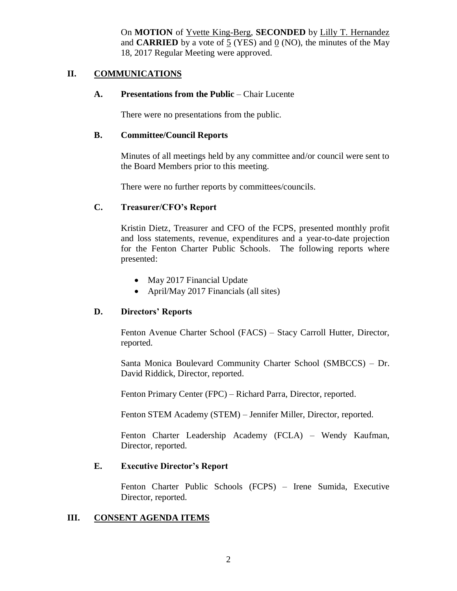On **MOTION** of Yvette King-Berg, **SECONDED** by Lilly T. Hernandez and **CARRIED** by a vote of 5 (YES) and 0 (NO), the minutes of the May 18, 2017 Regular Meeting were approved.

## **II. COMMUNICATIONS**

#### **A. Presentations from the Public** – Chair Lucente

There were no presentations from the public.

#### **B. Committee/Council Reports**

Minutes of all meetings held by any committee and/or council were sent to the Board Members prior to this meeting.

There were no further reports by committees/councils.

#### **C. Treasurer/CFO's Report**

Kristin Dietz, Treasurer and CFO of the FCPS, presented monthly profit and loss statements, revenue, expenditures and a year-to-date projection for the Fenton Charter Public Schools. The following reports where presented:

- May 2017 Financial Update
- April/May 2017 Financials (all sites)

#### **D. Directors' Reports**

Fenton Avenue Charter School (FACS) – Stacy Carroll Hutter, Director, reported.

Santa Monica Boulevard Community Charter School (SMBCCS) – Dr. David Riddick, Director, reported.

Fenton Primary Center (FPC) – Richard Parra, Director, reported.

Fenton STEM Academy (STEM) – Jennifer Miller, Director, reported.

Fenton Charter Leadership Academy (FCLA) – Wendy Kaufman, Director, reported.

#### **E. Executive Director's Report**

Fenton Charter Public Schools (FCPS) – Irene Sumida, Executive Director, reported.

### **III. CONSENT AGENDA ITEMS**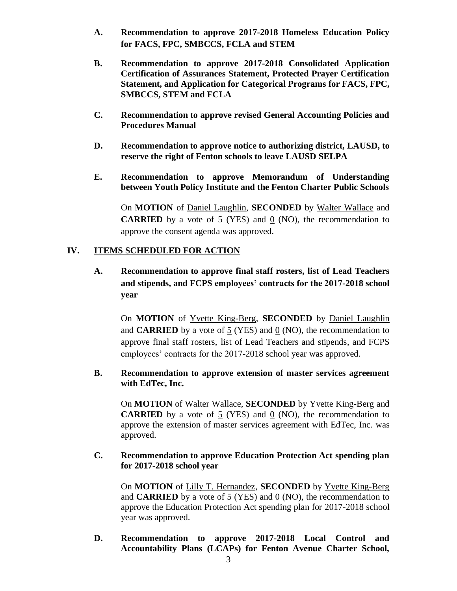- **A. Recommendation to approve 2017-2018 Homeless Education Policy for FACS, FPC, SMBCCS, FCLA and STEM**
- **B. Recommendation to approve 2017-2018 Consolidated Application Certification of Assurances Statement, Protected Prayer Certification Statement, and Application for Categorical Programs for FACS, FPC, SMBCCS, STEM and FCLA**
- **C. Recommendation to approve revised General Accounting Policies and Procedures Manual**
- **D. Recommendation to approve notice to authorizing district, LAUSD, to reserve the right of Fenton schools to leave LAUSD SELPA**
- **E. Recommendation to approve Memorandum of Understanding between Youth Policy Institute and the Fenton Charter Public Schools**

On **MOTION** of Daniel Laughlin, **SECONDED** by Walter Wallace and **CARRIED** by a vote of 5 (YES) and 0 (NO), the recommendation to approve the consent agenda was approved.

## **IV. ITEMS SCHEDULED FOR ACTION**

**A. Recommendation to approve final staff rosters, list of Lead Teachers and stipends, and FCPS employees' contracts for the 2017-2018 school year**

On **MOTION** of Yvette King-Berg, **SECONDED** by Daniel Laughlin and **CARRIED** by a vote of 5 (YES) and 0 (NO), the recommendation to approve final staff rosters, list of Lead Teachers and stipends, and FCPS employees' contracts for the 2017-2018 school year was approved.

## **B. Recommendation to approve extension of master services agreement with EdTec, Inc.**

On **MOTION** of Walter Wallace, **SECONDED** by Yvette King-Berg and **CARRIED** by a vote of  $\frac{5}{2}$  (YES) and  $\frac{0}{2}$  (NO), the recommendation to approve the extension of master services agreement with EdTec, Inc. was approved.

## **C. Recommendation to approve Education Protection Act spending plan for 2017-2018 school year**

On **MOTION** of Lilly T. Hernandez, **SECONDED** by Yvette King-Berg and **CARRIED** by a vote of 5 (YES) and 0 (NO), the recommendation to approve the Education Protection Act spending plan for 2017-2018 school year was approved.

**D. Recommendation to approve 2017-2018 Local Control and Accountability Plans (LCAPs) for Fenton Avenue Charter School,**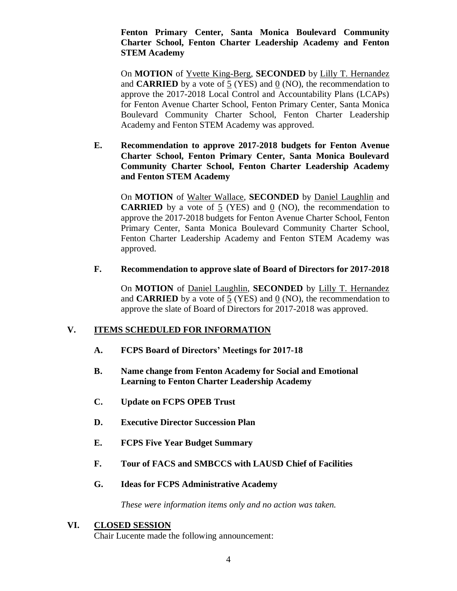## **Fenton Primary Center, Santa Monica Boulevard Community Charter School, Fenton Charter Leadership Academy and Fenton STEM Academy**

On **MOTION** of Yvette King-Berg, **SECONDED** by Lilly T. Hernandez and **CARRIED** by a vote of 5 (YES) and 0 (NO), the recommendation to approve the 2017-2018 Local Control and Accountability Plans (LCAPs) for Fenton Avenue Charter School, Fenton Primary Center, Santa Monica Boulevard Community Charter School, Fenton Charter Leadership Academy and Fenton STEM Academy was approved.

**E. Recommendation to approve 2017-2018 budgets for Fenton Avenue Charter School, Fenton Primary Center, Santa Monica Boulevard Community Charter School, Fenton Charter Leadership Academy and Fenton STEM Academy**

On **MOTION** of Walter Wallace, **SECONDED** by Daniel Laughlin and **CARRIED** by a vote of 5 (YES) and 0 (NO), the recommendation to approve the 2017-2018 budgets for Fenton Avenue Charter School, Fenton Primary Center, Santa Monica Boulevard Community Charter School, Fenton Charter Leadership Academy and Fenton STEM Academy was approved.

#### **F. Recommendation to approve slate of Board of Directors for 2017-2018**

On **MOTION** of Daniel Laughlin, **SECONDED** by Lilly T. Hernandez and **CARRIED** by a vote of 5 (YES) and 0 (NO), the recommendation to approve the slate of Board of Directors for 2017-2018 was approved.

# **V. ITEMS SCHEDULED FOR INFORMATION**

- **A. FCPS Board of Directors' Meetings for 2017-18**
- **B. Name change from Fenton Academy for Social and Emotional Learning to Fenton Charter Leadership Academy**
- **C. Update on FCPS OPEB Trust**
- **D. Executive Director Succession Plan**
- **E. FCPS Five Year Budget Summary**
- **F. Tour of FACS and SMBCCS with LAUSD Chief of Facilities**
- **G. Ideas for FCPS Administrative Academy**

*These were information items only and no action was taken.*

### **VI. CLOSED SESSION**

Chair Lucente made the following announcement: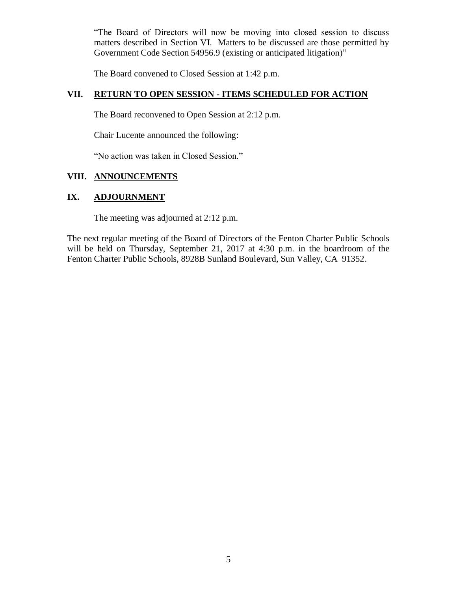"The Board of Directors will now be moving into closed session to discuss matters described in Section VI. Matters to be discussed are those permitted by Government Code Section 54956.9 (existing or anticipated litigation)"

The Board convened to Closed Session at 1:42 p.m.

# **VII. RETURN TO OPEN SESSION - ITEMS SCHEDULED FOR ACTION**

The Board reconvened to Open Session at 2:12 p.m.

Chair Lucente announced the following:

"No action was taken in Closed Session."

### **VIII. ANNOUNCEMENTS**

#### **IX. ADJOURNMENT**

The meeting was adjourned at 2:12 p.m.

The next regular meeting of the Board of Directors of the Fenton Charter Public Schools will be held on Thursday, September 21, 2017 at 4:30 p.m. in the boardroom of the Fenton Charter Public Schools, 8928B Sunland Boulevard, Sun Valley, CA 91352.